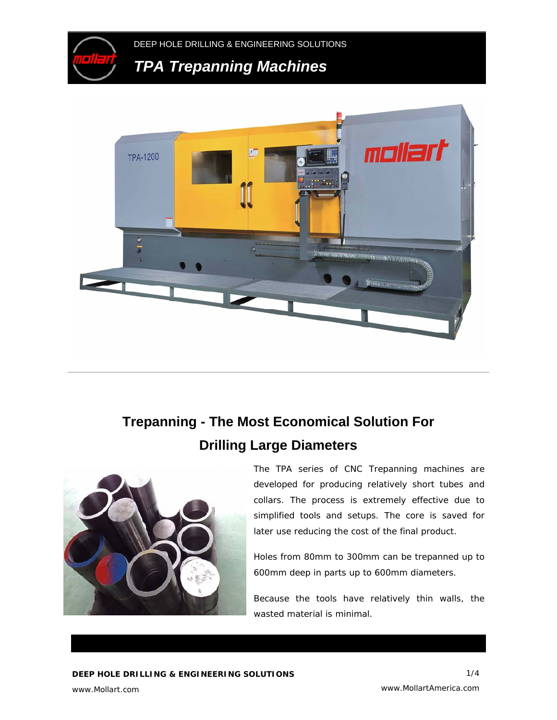



# **Trepanning - The Most Economical Solution For Drilling Large Diameters**



The TPA series of CNC Trepanning machines are developed for producing relatively short tubes and collars. The process is extremely effective due to simplified tools and setups. The core is saved for later use reducing the cost of the final product.

Holes from 80mm to 300mm can be trepanned up to 600mm deep in parts up to 600mm diameters.

Because the tools have relatively thin walls, the wasted material is minimal.

www.Mollart.com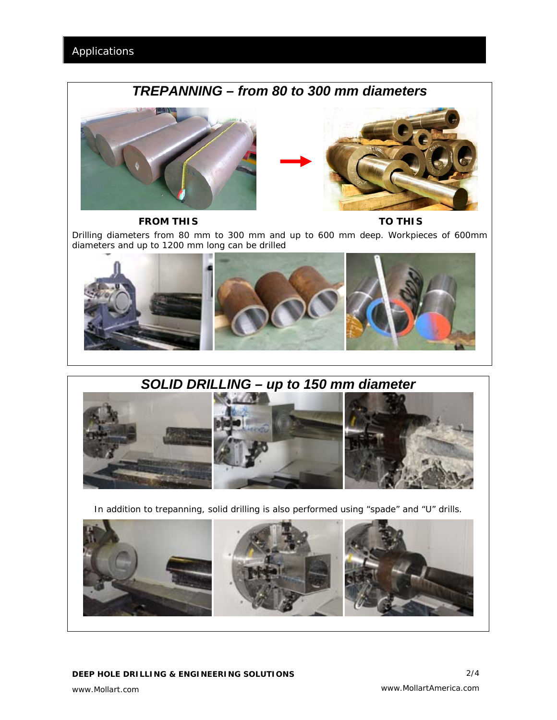# *TREPANNING – from 80 to 300 mm diameters*





*FROM THIS TO THIS* 

*Drilling diameters from 80 mm to 300 mm and up to 600 mm deep. Workpieces of 600mm diameters and up to 1200 mm long can be drilled*



# *SOLID DRILLING – up to 150 mm diameter*



*In addition to trepanning, solid drilling is also performed using "spade" and "U" drills.* 

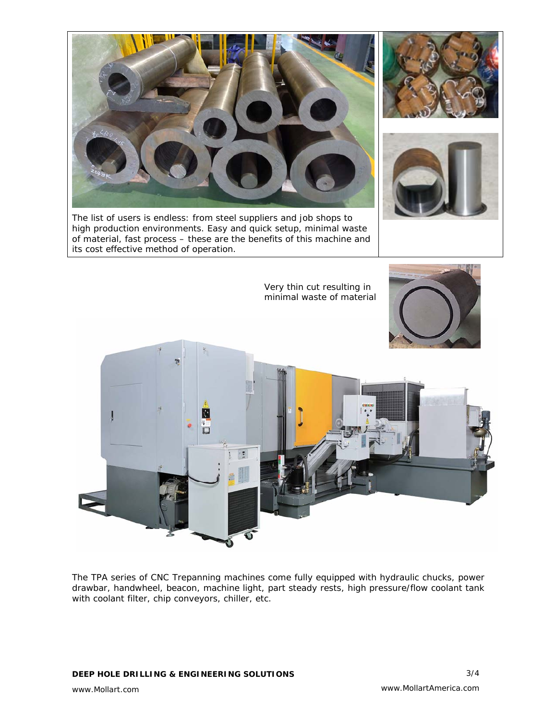

The list of users is endless: from steel suppliers and job shops to high production environments. Easy and quick setup, minimal waste of material, fast process – these are the benefits of this machine and its cost effective method of operation.





Very thin cut resulting in minimal waste of material



The TPA series of CNC Trepanning machines come fully equipped with hydraulic chucks, power drawbar, handwheel, beacon, machine light, part steady rests, high pressure/flow coolant tank with coolant filter, chip conveyors, chiller, etc.